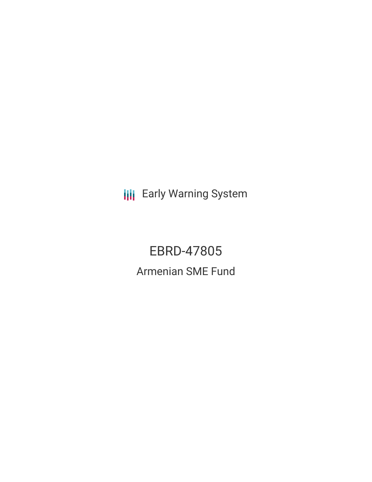**III** Early Warning System

EBRD-47805 Armenian SME Fund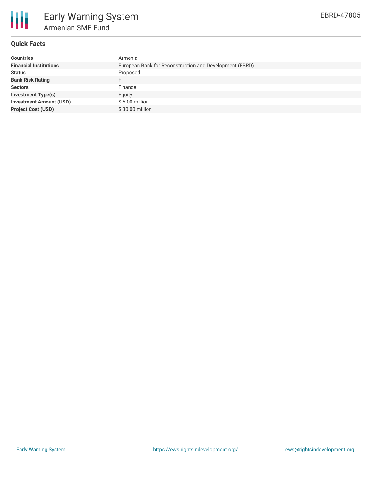

## **Quick Facts**

| <b>Countries</b>               | Armenia                                                 |
|--------------------------------|---------------------------------------------------------|
| <b>Financial Institutions</b>  | European Bank for Reconstruction and Development (EBRD) |
| <b>Status</b>                  | Proposed                                                |
| <b>Bank Risk Rating</b>        | FI                                                      |
| <b>Sectors</b>                 | Finance                                                 |
| <b>Investment Type(s)</b>      | Equity                                                  |
| <b>Investment Amount (USD)</b> | \$5.00 million                                          |
| <b>Project Cost (USD)</b>      | \$30.00 million                                         |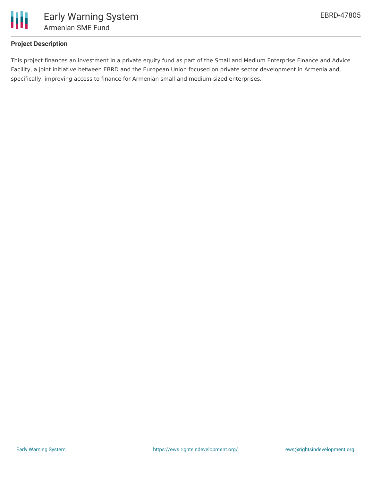

# **Project Description**

This project finances an investment in a private equity fund as part of the Small and Medium Enterprise Finance and Advice Facility, a joint initiative between EBRD and the European Union focused on private sector development in Armenia and, specifically, improving access to finance for Armenian small and medium-sized enterprises.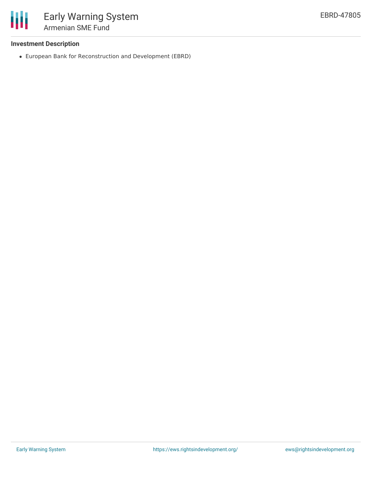

## **Investment Description**

European Bank for Reconstruction and Development (EBRD)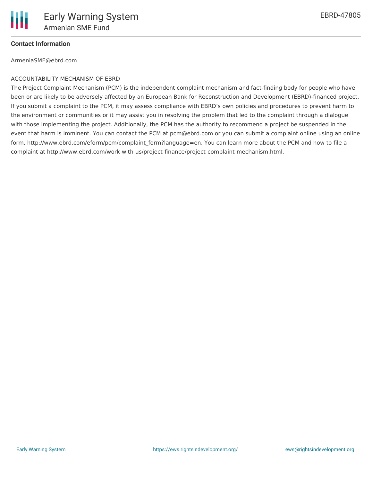

### **Contact Information**

ArmeniaSME@ebrd.com

#### ACCOUNTABILITY MECHANISM OF EBRD

The Project Complaint Mechanism (PCM) is the independent complaint mechanism and fact-finding body for people who have been or are likely to be adversely affected by an European Bank for Reconstruction and Development (EBRD)-financed project. If you submit a complaint to the PCM, it may assess compliance with EBRD's own policies and procedures to prevent harm to the environment or communities or it may assist you in resolving the problem that led to the complaint through a dialogue with those implementing the project. Additionally, the PCM has the authority to recommend a project be suspended in the event that harm is imminent. You can contact the PCM at pcm@ebrd.com or you can submit a complaint online using an online form, http://www.ebrd.com/eform/pcm/complaint\_form?language=en. You can learn more about the PCM and how to file a complaint at http://www.ebrd.com/work-with-us/project-finance/project-complaint-mechanism.html.